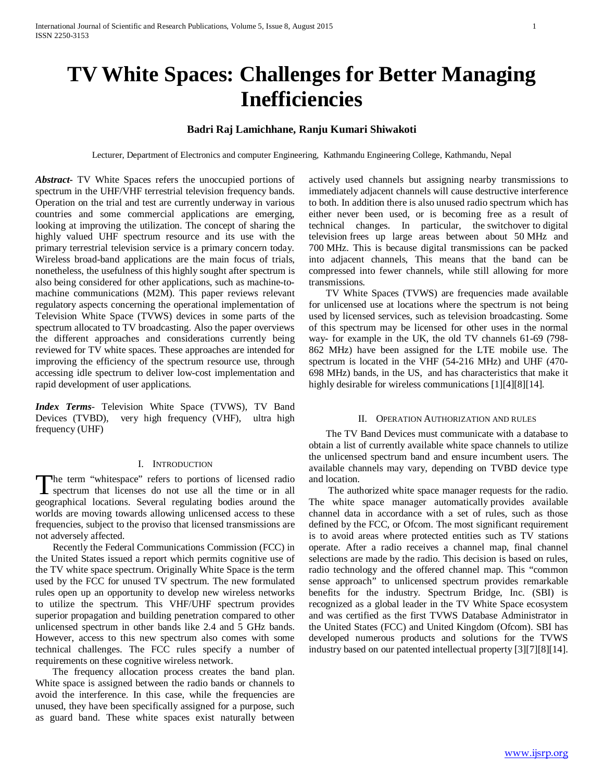# **TV White Spaces: Challenges for Better Managing Inefficiencies**

# **Badri Raj Lamichhane, Ranju Kumari Shiwakoti**

Lecturer, Department of Electronics and computer Engineering, Kathmandu Engineering College, Kathmandu, Nepal

*Abstract***-** TV White Spaces refers the unoccupied portions of spectrum in the UHF/VHF terrestrial television frequency bands. Operation on the trial and test are currently underway in various countries and some commercial applications are emerging, looking at improving the utilization. The concept of sharing the highly valued UHF spectrum resource and its use with the primary terrestrial television service is a primary concern today. Wireless broad-band applications are the main focus of trials, nonetheless, the usefulness of this highly sought after spectrum is also being considered for other applications, such as machine-tomachine communications (M2M). This paper reviews relevant regulatory aspects concerning the operational implementation of Television White Space (TVWS) devices in some parts of the spectrum allocated to TV broadcasting. Also the paper overviews the different approaches and considerations currently being reviewed for TV white spaces. These approaches are intended for improving the efficiency of the spectrum resource use, through accessing idle spectrum to deliver low-cost implementation and rapid development of user applications.

*Index Terms*- Television White Space (TVWS), TV Band Devices (TVBD), very high frequency (VHF), ultra high frequency (UHF)

## I. INTRODUCTION

he term "whitespace" refers to portions of licensed radio The term "whitespace" refers to portions of licensed radio spectrum that licenses do not use all the time or in all geographical locations. Several regulating bodies around the worlds are moving towards allowing unlicensed access to these frequencies, subject to the proviso that licensed transmissions are not adversely affected.

 Recently the Federal Communications Commission (FCC) in the United States issued a report which permits cognitive use of the TV white space spectrum. Originally White Space is the term used by the FCC for unused TV spectrum. The new formulated rules open up an opportunity to develop new wireless networks to utilize the spectrum. This VHF/UHF spectrum provides superior propagation and building penetration compared to other unlicensed spectrum in other bands like 2.4 and 5 GHz bands. However, access to this new spectrum also comes with some technical challenges. The FCC rules specify a number of requirements on these cognitive wireless network.

 The frequency allocation process creates the band plan. White space is assigned between the radio bands or channels to avoid the interference. In this case, while the frequencies are unused, they have been specifically assigned for a purpose, such as guard band. These white spaces exist naturally between actively used channels but assigning nearby transmissions to immediately adjacent channels will cause destructive interference to both. In addition there is also unused radio spectrum which has either never been used, or is becoming free as a result of technical changes. In particular, the switchover to digital television frees up large areas between about 50 MHz and 700 MHz. This is because digital transmissions can be packed into adjacent channels, This means that the band can be compressed into fewer channels, while still allowing for more transmissions.

 TV White Spaces (TVWS) are frequencies made available for unlicensed use at locations where the spectrum is not being used by licensed services, such as television broadcasting. Some of this spectrum may be licensed for other uses in the normal way- for example in the UK, the old TV channels 61-69 (798- 862 MHz) have been assigned for the LTE mobile use. The spectrum is located in the VHF (54-216 MHz) and UHF (470- 698 MHz) bands, in the US, and has characteristics that make it highly desirable for wireless communications [1][4][8][14].

## II. OPERATION AUTHORIZATION AND RULES

 The TV Band Devices must communicate with a database to obtain a list of currently available white space channels to utilize the unlicensed spectrum band and ensure incumbent users. The available channels may vary, depending on TVBD device type and location.

 The authorized white space manager requests for the radio. The white space manager automatically provides available channel data in accordance with a set of rules, such as those defined by the FCC, or Ofcom. The most significant requirement is to avoid areas where protected entities such as TV stations operate. After a radio receives a channel map, final channel selections are made by the radio. This decision is based on rules, radio technology and the offered channel map. This "common sense approach" to unlicensed spectrum provides remarkable benefits for the industry. Spectrum Bridge, Inc. (SBI) is recognized as a global leader in the TV White Space ecosystem and was certified as the first TVWS Database Administrator in the United States (FCC) and United Kingdom (Ofcom). SBI has developed numerous products and solutions for the TVWS industry based on our patented intellectual property [3][7][8][14].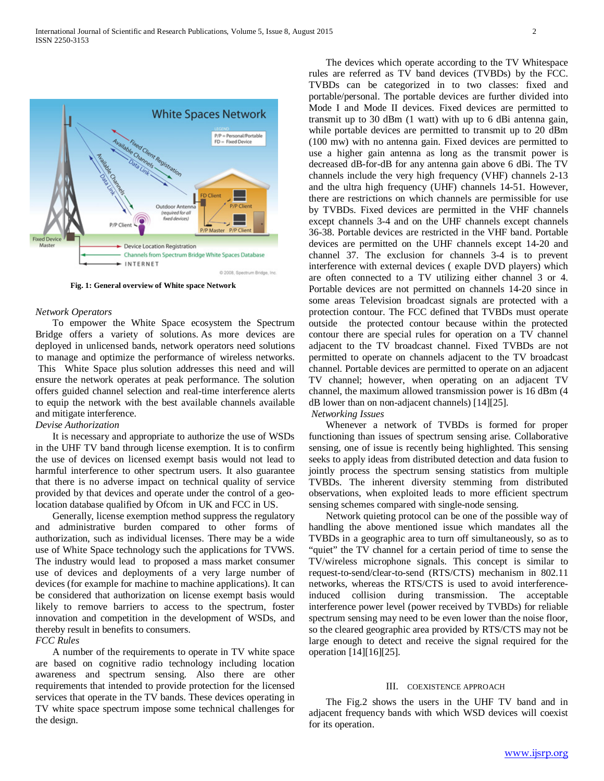

**Fig. 1: General overview of White space Network**

### *Network Operators*

 To empower the White Space ecosystem the Spectrum Bridge offers a variety of solutions. As more devices are deployed in unlicensed bands, network operators need solutions to manage and optimize the performance of wireless networks. This White Space plus solution addresses this need and will ensure the network operates at peak performance. The solution offers guided channel selection and real-time interference alerts to equip the network with the best available channels available and mitigate interference.

# *Devise Authorization*

 It is necessary and appropriate to authorize the use of WSDs in the UHF TV band through license exemption. It is to confirm the use of devices on licensed exempt basis would not lead to harmful interference to other spectrum users. It also guarantee that there is no adverse impact on technical quality of service provided by that devices and operate under the control of a geolocation database qualified by Ofcom in UK and FCC in US.

 Generally, license exemption method suppress the regulatory and administrative burden compared to other forms of authorization, such as individual licenses. There may be a wide use of White Space technology such the applications for TVWS. The industry would lead to proposed a mass market consumer use of devices and deployments of a very large number of devices (for example for machine to machine applications). It can be considered that authorization on license exempt basis would likely to remove barriers to access to the spectrum, foster innovation and competition in the development of WSDs, and thereby result in benefits to consumers.

# *FCC Rules*

 A number of the requirements to operate in TV white space are based on cognitive radio technology including location awareness and spectrum sensing. Also there are other requirements that intended to provide protection for the licensed services that operate in the TV bands. These devices operating in TV white space spectrum impose some technical challenges for the design.

 The devices which operate according to the TV Whitespace rules are referred as TV band devices (TVBDs) by the FCC. TVBDs can be categorized in to two classes: fixed and portable/personal. The portable devices are further divided into Mode I and Mode II devices. Fixed devices are permitted to transmit up to 30 dBm (1 watt) with up to 6 dBi antenna gain, while portable devices are permitted to transmit up to 20 dBm (100 mw) with no antenna gain. Fixed devices are permitted to use a higher gain antenna as long as the transmit power is decreased dB-for-dB for any antenna gain above 6 dBi. The TV channels include the very high frequency (VHF) channels 2-13 and the ultra high frequency (UHF) channels 14-51. However, there are restrictions on which channels are permissible for use by TVBDs. Fixed devices are permitted in the VHF channels except channels 3-4 and on the UHF channels except channels 36-38. Portable devices are restricted in the VHF band. Portable devices are permitted on the UHF channels except 14-20 and channel 37. The exclusion for channels 3-4 is to prevent interference with external devices ( exaple DVD players) which are often connected to a TV utilizing either channel 3 or 4. Portable devices are not permitted on channels 14-20 since in some areas Television broadcast signals are protected with a protection contour. The FCC defined that TVBDs must operate outside the protected contour because within the protected contour there are special rules for operation on a TV channel adjacent to the TV broadcast channel. Fixed TVBDs are not permitted to operate on channels adjacent to the TV broadcast channel. Portable devices are permitted to operate on an adjacent TV channel; however, when operating on an adjacent TV channel, the maximum allowed transmission power is 16 dBm (4 dB lower than on non-adjacent channels) [14][25].

## *Networking Issues*

 Whenever a network of TVBDs is formed for proper functioning than issues of spectrum sensing arise. Collaborative sensing, one of issue is recently being highlighted. This sensing seeks to apply ideas from distributed detection and data fusion to jointly process the spectrum sensing statistics from multiple TVBDs. The inherent diversity stemming from distributed observations, when exploited leads to more efficient spectrum sensing schemes compared with single-node sensing.

 Network quieting protocol can be one of the possible way of handling the above mentioned issue which mandates all the TVBDs in a geographic area to turn off simultaneously, so as to "quiet" the TV channel for a certain period of time to sense the TV/wireless microphone signals. This concept is similar to request-to-send/clear-to-send (RTS/CTS) mechanism in 802.11 networks, whereas the RTS/CTS is used to avoid interferenceinduced collision during transmission. The acceptable interference power level (power received by TVBDs) for reliable spectrum sensing may need to be even lower than the noise floor, so the cleared geographic area provided by RTS/CTS may not be large enough to detect and receive the signal required for the operation [14][16][25].

#### III. COEXISTENCE APPROACH

 The Fig.2 shows the users in the UHF TV band and in adjacent frequency bands with which WSD devices will coexist for its operation.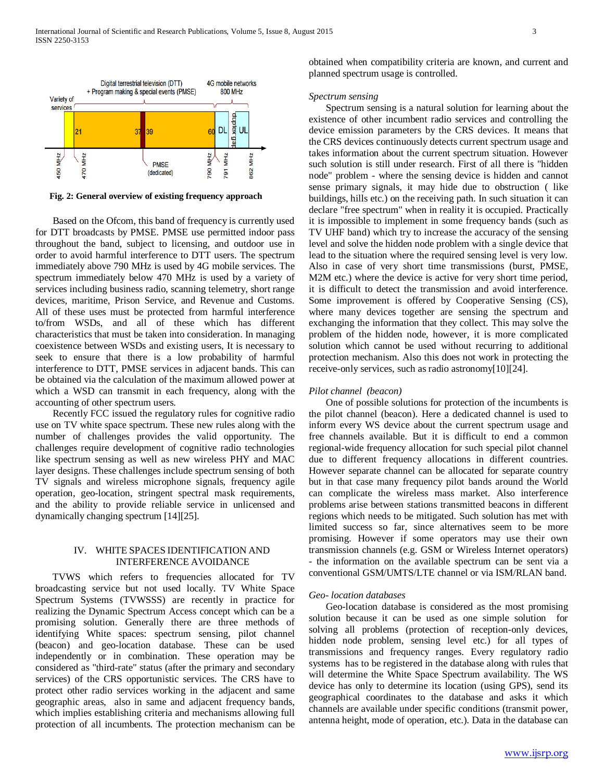

**Fig. 2: General overview of existing frequency approach**

 Based on the Ofcom, this band of frequency is currently used for DTT broadcasts by PMSE. PMSE use permitted indoor pass throughout the band, subject to licensing, and outdoor use in order to avoid harmful interference to DTT users. The spectrum immediately above 790 MHz is used by 4G mobile services. The spectrum immediately below 470 MHz is used by a variety of services including business radio, scanning telemetry, short range devices, maritime, Prison Service, and Revenue and Customs. All of these uses must be protected from harmful interference to/from WSDs, and all of these which has different characteristics that must be taken into consideration. In managing coexistence between WSDs and existing users, It is necessary to seek to ensure that there is a low probability of harmful interference to DTT, PMSE services in adjacent bands. This can be obtained via the calculation of the maximum allowed power at which a WSD can transmit in each frequency, along with the accounting of other spectrum users.

 Recently FCC issued the regulatory rules for cognitive radio use on TV white space spectrum. These new rules along with the number of challenges provides the valid opportunity. The challenges require development of cognitive radio technologies like spectrum sensing as well as new wireless PHY and MAC layer designs. These challenges include spectrum sensing of both TV signals and wireless microphone signals, frequency agile operation, geo-location, stringent spectral mask requirements, and the ability to provide reliable service in unlicensed and dynamically changing spectrum [14][25].

# IV. WHITE SPACES IDENTIFICATION AND INTERFERENCE AVOIDANCE

 TVWS which refers to frequencies allocated for TV broadcasting service but not used locally. TV White Space Spectrum Systems (TVWSSS) are recently in practice for realizing the Dynamic Spectrum Access concept which can be a promising solution. Generally there are three methods of identifying White spaces: spectrum sensing, pilot channel (beacon) and geo-location database. These can be used independently or in combination. These operation may be considered as "third-rate" status (after the primary and secondary services) of the CRS opportunistic services. The CRS have to protect other radio services working in the adjacent and same geographic areas, also in same and adjacent frequency bands, which implies establishing criteria and mechanisms allowing full protection of all incumbents. The protection mechanism can be obtained when compatibility criteria are known, and current and planned spectrum usage is controlled.

## *Spectrum sensing*

 Spectrum sensing is a natural solution for learning about the existence of other incumbent radio services and controlling the device emission parameters by the CRS devices. It means that the CRS devices continuously detects current spectrum usage and takes information about the current spectrum situation. However such solution is still under research. First of all there is "hidden node" problem - where the sensing device is hidden and cannot sense primary signals, it may hide due to obstruction ( like buildings, hills etc.) on the receiving path. In such situation it can declare "free spectrum" when in reality it is occupied. Practically it is impossible to implement in some frequency bands (such as TV UHF band) which try to increase the accuracy of the sensing level and solve the hidden node problem with a single device that lead to the situation where the required sensing level is very low. Also in case of very short time transmissions (burst, PMSE, M2M etc.) where the device is active for very short time period, it is difficult to detect the transmission and avoid interference. Some improvement is offered by Cooperative Sensing (CS), where many devices together are sensing the spectrum and exchanging the information that they collect. This may solve the problem of the hidden node, however, it is more complicated solution which cannot be used without recurring to additional protection mechanism. Also this does not work in protecting the receive-only services, such as radio astronomy[10][24].

## *Pilot channel (beacon)*

 One of possible solutions for protection of the incumbents is the pilot channel (beacon). Here a dedicated channel is used to inform every WS device about the current spectrum usage and free channels available. But it is difficult to end a common regional-wide frequency allocation for such special pilot channel due to different frequency allocations in different countries. However separate channel can be allocated for separate country but in that case many frequency pilot bands around the World can complicate the wireless mass market. Also interference problems arise between stations transmitted beacons in different regions which needs to be mitigated. Such solution has met with limited success so far, since alternatives seem to be more promising. However if some operators may use their own transmission channels (e.g. GSM or Wireless Internet operators) - the information on the available spectrum can be sent via a conventional GSM/UMTS/LTE channel or via ISM/RLAN band.

### *Geo- location databases*

 Geo-location database is considered as the most promising solution because it can be used as one simple solution for solving all problems (protection of reception-only devices, hidden node problem, sensing level etc.) for all types of transmissions and frequency ranges. Every regulatory radio systems has to be registered in the database along with rules that will determine the White Space Spectrum availability. The WS device has only to determine its location (using GPS), send its geographical coordinates to the database and asks it which channels are available under specific conditions (transmit power, antenna height, mode of operation, etc.). Data in the database can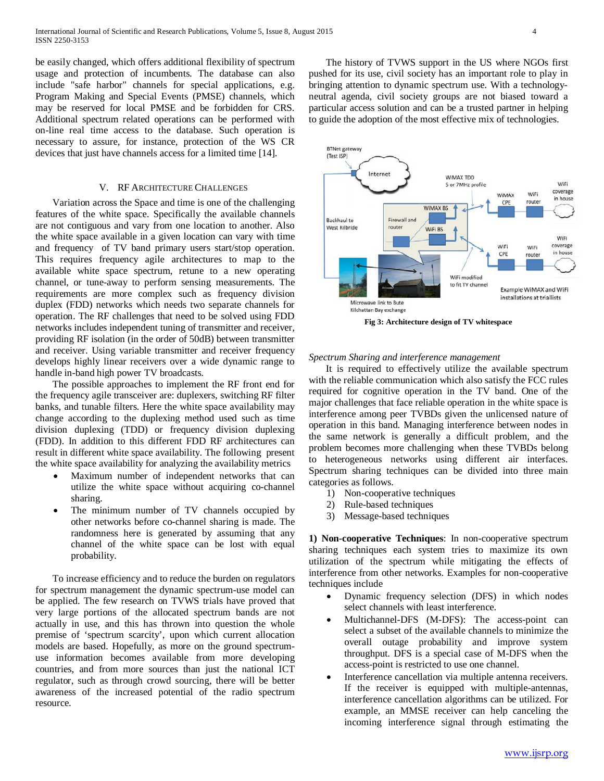be easily changed, which offers additional flexibility of spectrum usage and protection of incumbents. The database can also include "safe harbor" channels for special applications, e.g. Program Making and Special Events (PMSE) channels, which may be reserved for local PMSE and be forbidden for CRS. Additional spectrum related operations can be performed with on-line real time access to the database. Such operation is necessary to assure, for instance, protection of the WS CR devices that just have channels access for a limited time [14].

## V. RF ARCHITECTURE CHALLENGES

 Variation across the Space and time is one of the challenging features of the white space. Specifically the available channels are not contiguous and vary from one location to another. Also the white space available in a given location can vary with time and frequency of TV band primary users start/stop operation. This requires frequency agile architectures to map to the available white space spectrum, retune to a new operating channel, or tune-away to perform sensing measurements. The requirements are more complex such as frequency division duplex (FDD) networks which needs two separate channels for operation. The RF challenges that need to be solved using FDD networks includes independent tuning of transmitter and receiver, providing RF isolation (in the order of 50dB) between transmitter and receiver. Using variable transmitter and receiver frequency develops highly linear receivers over a wide dynamic range to handle in-band high power TV broadcasts.

 The possible approaches to implement the RF front end for the frequency agile transceiver are: duplexers, switching RF filter banks, and tunable filters. Here the white space availability may change according to the duplexing method used such as time division duplexing (TDD) or frequency division duplexing (FDD). In addition to this different FDD RF architectures can result in different white space availability. The following present the white space availability for analyzing the availability metrics

- Maximum number of independent networks that can utilize the white space without acquiring co-channel sharing.
- The minimum number of TV channels occupied by other networks before co-channel sharing is made. The randomness here is generated by assuming that any channel of the white space can be lost with equal probability.

 To increase efficiency and to reduce the burden on regulators for spectrum management the dynamic spectrum-use model can be applied. The few research on TVWS trials have proved that very large portions of the allocated spectrum bands are not actually in use, and this has thrown into question the whole premise of 'spectrum scarcity', upon which current allocation models are based. Hopefully, as more on the ground spectrumuse information becomes available from more developing countries, and from more sources than just the national ICT regulator, such as through crowd sourcing, there will be better awareness of the increased potential of the radio spectrum resource.

 The history of TVWS support in the US where NGOs first pushed for its use, civil society has an important role to play in bringing attention to dynamic spectrum use. With a technologyneutral agenda, civil society groups are not biased toward a particular access solution and can be a trusted partner in helping to guide the adoption of the most effective mix of technologies.



**Fig 3: Architecture design of TV whitespace**

*Spectrum Sharing and interference management* 

 It is required to effectively utilize the available spectrum with the reliable communication which also satisfy the FCC rules required for cognitive operation in the TV band. One of the major challenges that face reliable operation in the white space is interference among peer TVBDs given the unlicensed nature of operation in this band. Managing interference between nodes in the same network is generally a difficult problem, and the problem becomes more challenging when these TVBDs belong to heterogeneous networks using different air interfaces. Spectrum sharing techniques can be divided into three main categories as follows.

- 1) Non-cooperative techniques
- 2) Rule-based techniques
- 3) Message-based techniques

**1) Non-cooperative Techniques**: In non-cooperative spectrum sharing techniques each system tries to maximize its own utilization of the spectrum while mitigating the effects of interference from other networks. Examples for non-cooperative techniques include

- Dynamic frequency selection (DFS) in which nodes select channels with least interference.
- Multichannel-DFS (M-DFS): The access-point can select a subset of the available channels to minimize the overall outage probability and improve system throughput. DFS is a special case of M-DFS when the access-point is restricted to use one channel.
- Interference cancellation via multiple antenna receivers. If the receiver is equipped with multiple-antennas, interference cancellation algorithms can be utilized. For example, an MMSE receiver can help canceling the incoming interference signal through estimating the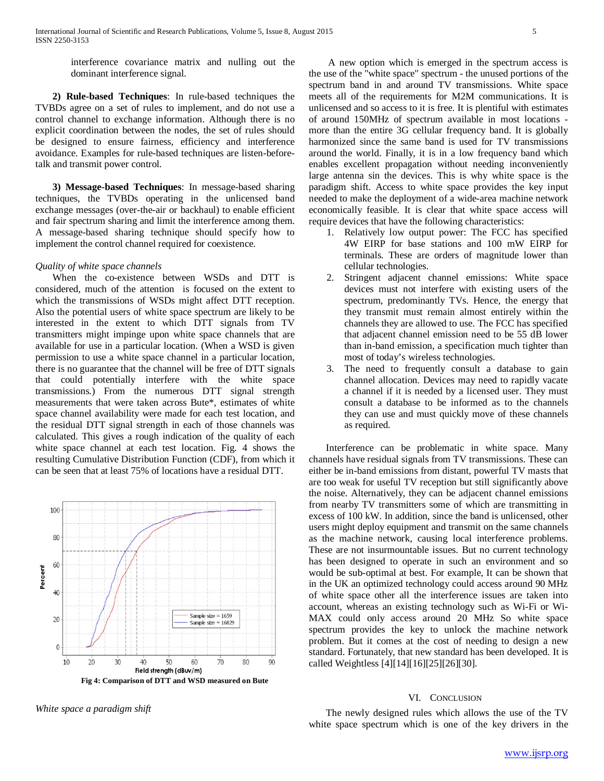interference covariance matrix and nulling out the dominant interference signal.

 **2) Rule-based Techniques**: In rule-based techniques the TVBDs agree on a set of rules to implement, and do not use a control channel to exchange information. Although there is no explicit coordination between the nodes, the set of rules should be designed to ensure fairness, efficiency and interference avoidance. Examples for rule-based techniques are listen-beforetalk and transmit power control.

 **3) Message-based Techniques**: In message-based sharing techniques, the TVBDs operating in the unlicensed band exchange messages (over-the-air or backhaul) to enable efficient and fair spectrum sharing and limit the interference among them. A message-based sharing technique should specify how to implement the control channel required for coexistence.

## *Quality of white space channels*

 When the co-existence between WSDs and DTT is considered, much of the attention is focused on the extent to which the transmissions of WSDs might affect DTT reception. Also the potential users of white space spectrum are likely to be interested in the extent to which DTT signals from TV transmitters might impinge upon white space channels that are available for use in a particular location. (When a WSD is given permission to use a white space channel in a particular location, there is no guarantee that the channel will be free of DTT signals that could potentially interfere with the white space transmissions.) From the numerous DTT signal strength measurements that were taken across Bute\*, estimates of white space channel availability were made for each test location, and the residual DTT signal strength in each of those channels was calculated. This gives a rough indication of the quality of each white space channel at each test location. Fig. 4 shows the resulting Cumulative Distribution Function (CDF), from which it can be seen that at least 75% of locations have a residual DTT.



**Fig 4: Comparison of DTT and WSD measured on Bute**

*White space a paradigm shift* 

 A new option which is emerged in the spectrum access is the use of the "white space" spectrum - the unused portions of the spectrum band in and around TV transmissions. White space meets all of the requirements for M2M communications. It is unlicensed and so access to it is free. It is plentiful with estimates of around 150MHz of spectrum available in most locations more than the entire 3G cellular frequency band. It is globally harmonized since the same band is used for TV transmissions around the world. Finally, it is in a low frequency band which enables excellent propagation without needing inconveniently large antenna sin the devices. This is why white space is the paradigm shift. Access to white space provides the key input needed to make the deployment of a wide-area machine network economically feasible. It is clear that white space access will require devices that have the following characteristics:

- 1. Relatively low output power: The FCC has specified 4W EIRP for base stations and 100 mW EIRP for terminals. These are orders of magnitude lower than cellular technologies.
- 2. Stringent adjacent channel emissions: White space devices must not interfere with existing users of the spectrum, predominantly TVs. Hence, the energy that they transmit must remain almost entirely within the channels they are allowed to use. The FCC has specified that adjacent channel emission need to be 55 dB lower than in-band emission, a specification much tighter than most of today's wireless technologies.
- 3. The need to frequently consult a database to gain channel allocation. Devices may need to rapidly vacate a channel if it is needed by a licensed user. They must consult a database to be informed as to the channels they can use and must quickly move of these channels as required.

 Interference can be problematic in white space. Many channels have residual signals from TV transmissions. These can either be in-band emissions from distant, powerful TV masts that are too weak for useful TV reception but still significantly above the noise. Alternatively, they can be adjacent channel emissions from nearby TV transmitters some of which are transmitting in excess of 100 kW. In addition, since the band is unlicensed, other users might deploy equipment and transmit on the same channels as the machine network, causing local interference problems. These are not insurmountable issues. But no current technology has been designed to operate in such an environment and so would be sub-optimal at best. For example, It can be shown that in the UK an optimized technology could access around 90 MHz of white space other all the interference issues are taken into account, whereas an existing technology such as Wi-Fi or Wi-MAX could only access around 20 MHz So white space spectrum provides the key to unlock the machine network problem. But it comes at the cost of needing to design a new standard. Fortunately, that new standard has been developed. It is called Weightless [4][14][16][25][26][30].

## VI. CONCLUSION

 The newly designed rules which allows the use of the TV white space spectrum which is one of the key drivers in the